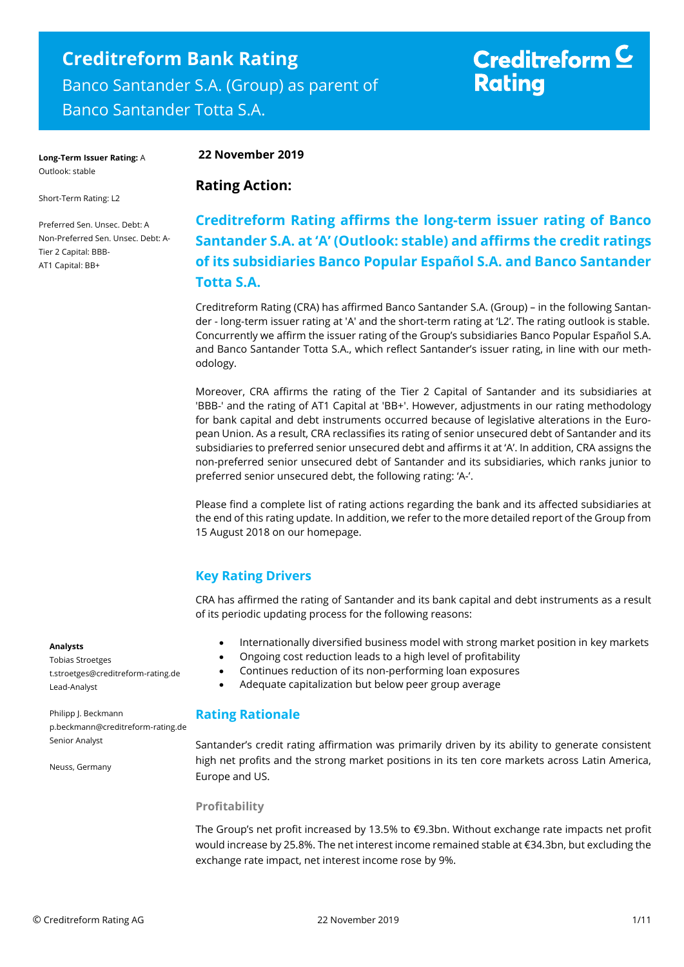## **Creditreform Bank Rating** Banco Santander S.A. (Group) as parent of Banco Santander Totta S.A.

# Creditreform  $\subseteq$ **Rating**

**Long-Term Issuer Rating:** A Outlook: stable

Short-Term Rating: L2

Preferred Sen. Unsec. Debt: A Non-Preferred Sen. Unsec. Debt: A-Tier 2 Capital: BBB-AT1 Capital: BB+

#### **22 November 2019**

#### **Rating Action:**

## **Creditreform Rating affirms the long-term issuer rating of Banco Santander S.A. at 'A' (Outlook: stable) and affirms the credit ratings of its subsidiaries Banco Popular Español S.A. and Banco Santander Totta S.A.**

Creditreform Rating (CRA) has affirmed Banco Santander S.A. (Group) – in the following Santander - long-term issuer rating at 'A' and the short-term rating at 'L2'. The rating outlook is stable. Concurrently we affirm the issuer rating of the Group's subsidiaries Banco Popular Español S.A. and Banco Santander Totta S.A., which reflect Santander's issuer rating, in line with our methodology.

Moreover, CRA affirms the rating of the Tier 2 Capital of Santander and its subsidiaries at 'BBB-' and the rating of AT1 Capital at 'BB+'. However, adjustments in our rating methodology for bank capital and debt instruments occurred because of legislative alterations in the European Union. As a result, CRA reclassifies its rating of senior unsecured debt of Santander and its subsidiaries to preferred senior unsecured debt and affirms it at 'A'. In addition, CRA assigns the non-preferred senior unsecured debt of Santander and its subsidiaries, which ranks junior to preferred senior unsecured debt, the following rating: 'A-'.

Please find a complete list of rating actions regarding the bank and its affected subsidiaries at the end of this rating update. In addition, we refer to the more detailed report of the Group from 15 August 2018 on our homepage.

## **Key Rating Drivers**

CRA has affirmed the rating of Santander and its bank capital and debt instruments as a result of its periodic updating process for the following reasons:

- Internationally diversified business model with strong market position in key markets
- Ongoing cost reduction leads to a high level of profitability
- Continues reduction of its non-performing loan exposures
- Adequate capitalization but below peer group average

#### **Rating Rationale**

Santander's credit rating affirmation was primarily driven by its ability to generate consistent high net profits and the strong market positions in its ten core markets across Latin America, Europe and US.

#### **Profitability**

The Group's net profit increased by 13.5% to €9.3bn. Without exchange rate impacts net profit would increase by 25.8%. The net interest income remained stable at €34.3bn, but excluding the exchange rate impact, net interest income rose by 9%.

#### **Analysts**

Tobias Stroetges t.stroetges@creditreform-rating.de Lead-Analyst

Philipp J. Beckmann p.beckmann@creditreform-rating.de Senior Analyst

Neuss, Germany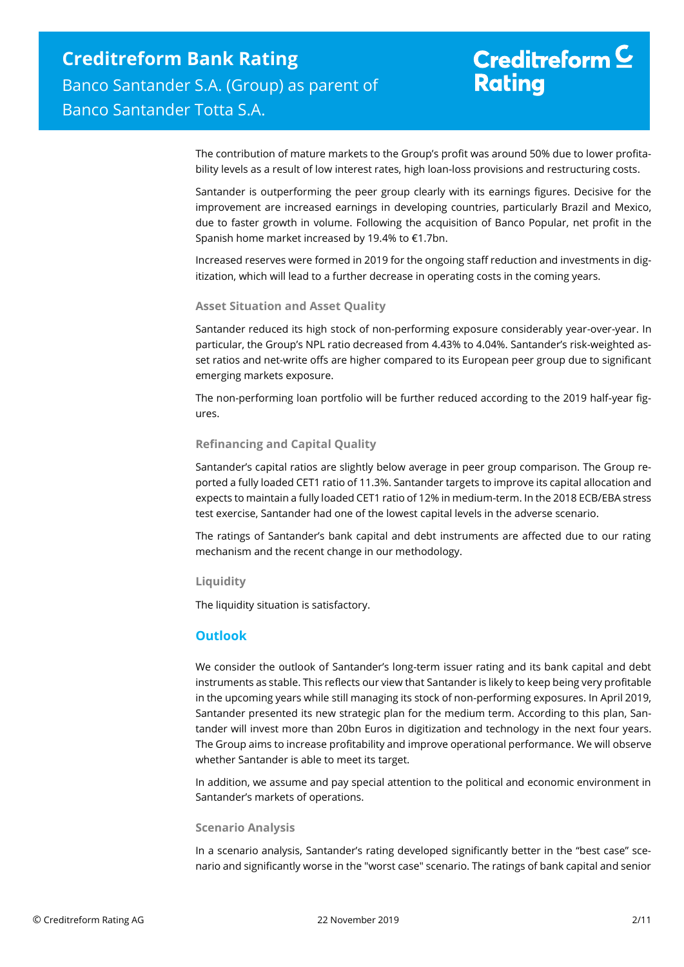The contribution of mature markets to the Group's profit was around 50% due to lower profitability levels as a result of low interest rates, high loan-loss provisions and restructuring costs.

Santander is outperforming the peer group clearly with its earnings figures. Decisive for the improvement are increased earnings in developing countries, particularly Brazil and Mexico, due to faster growth in volume. Following the acquisition of Banco Popular, net profit in the Spanish home market increased by 19.4% to €1.7bn.

Increased reserves were formed in 2019 for the ongoing staff reduction and investments in digitization, which will lead to a further decrease in operating costs in the coming years.

#### **Asset Situation and Asset Quality**

Santander reduced its high stock of non-performing exposure considerably year-over-year. In particular, the Group's NPL ratio decreased from 4.43% to 4.04%. Santander's risk-weighted asset ratios and net-write offs are higher compared to its European peer group due to significant emerging markets exposure.

The non-performing loan portfolio will be further reduced according to the 2019 half-year figures.

#### **Refinancing and Capital Quality**

Santander's capital ratios are slightly below average in peer group comparison. The Group reported a fully loaded CET1 ratio of 11.3%. Santander targets to improve its capital allocation and expects to maintain a fully loaded CET1 ratio of 12% in medium-term. In the 2018 ECB/EBA stress test exercise, Santander had one of the lowest capital levels in the adverse scenario.

The ratings of Santander's bank capital and debt instruments are affected due to our rating mechanism and the recent change in our methodology.

#### **Liquidity**

The liquidity situation is satisfactory.

#### **Outlook**

We consider the outlook of Santander's long-term issuer rating and its bank capital and debt instruments as stable. This reflects our view that Santander is likely to keep being very profitable in the upcoming years while still managing its stock of non-performing exposures. In April 2019, Santander presented its new strategic plan for the medium term. According to this plan, Santander will invest more than 20bn Euros in digitization and technology in the next four years. The Group aims to increase profitability and improve operational performance. We will observe whether Santander is able to meet its target.

In addition, we assume and pay special attention to the political and economic environment in Santander's markets of operations.

#### **Scenario Analysis**

In a scenario analysis, Santander's rating developed significantly better in the "best case" scenario and significantly worse in the "worst case" scenario. The ratings of bank capital and senior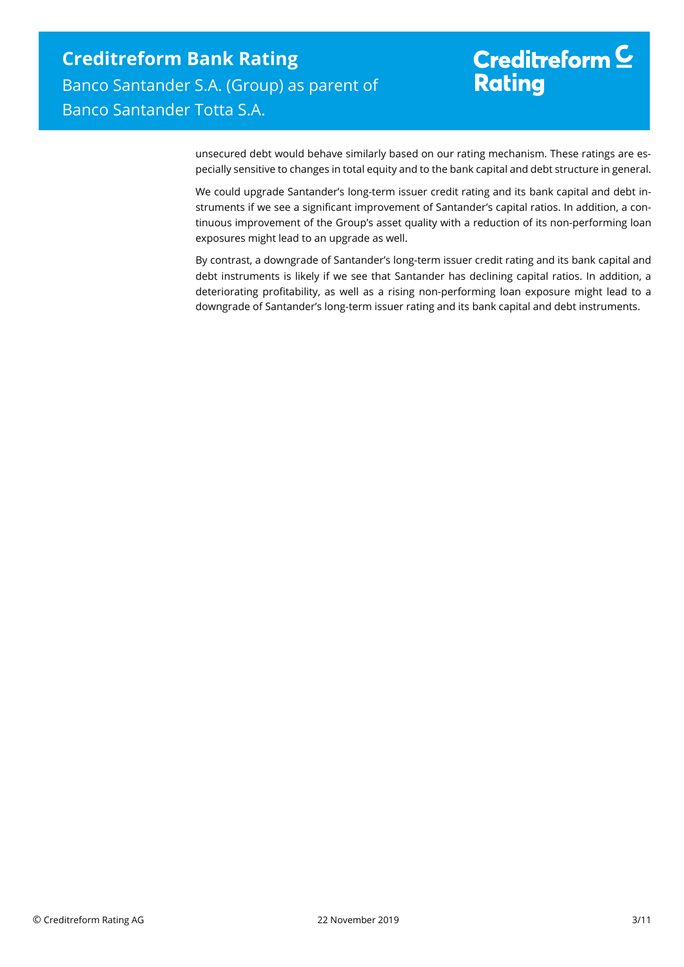# Creditreform  $C$ **Rating**

unsecured debt would behave similarly based on our rating mechanism. These ratings are especially sensitive to changes in total equity and to the bank capital and debt structure in general.

We could upgrade Santander's long-term issuer credit rating and its bank capital and debt instruments if we see a significant improvement of Santander's capital ratios. In addition, a continuous improvement of the Group's asset quality with a reduction of its non-performing loan exposures might lead to an upgrade as well.

By contrast, a downgrade of Santander's long-term issuer credit rating and its bank capital and debt instruments is likely if we see that Santander has declining capital ratios. In addition, a deteriorating profitability, as well as a rising non-performing loan exposure might lead to a downgrade of Santander's long-term issuer rating and its bank capital and debt instruments.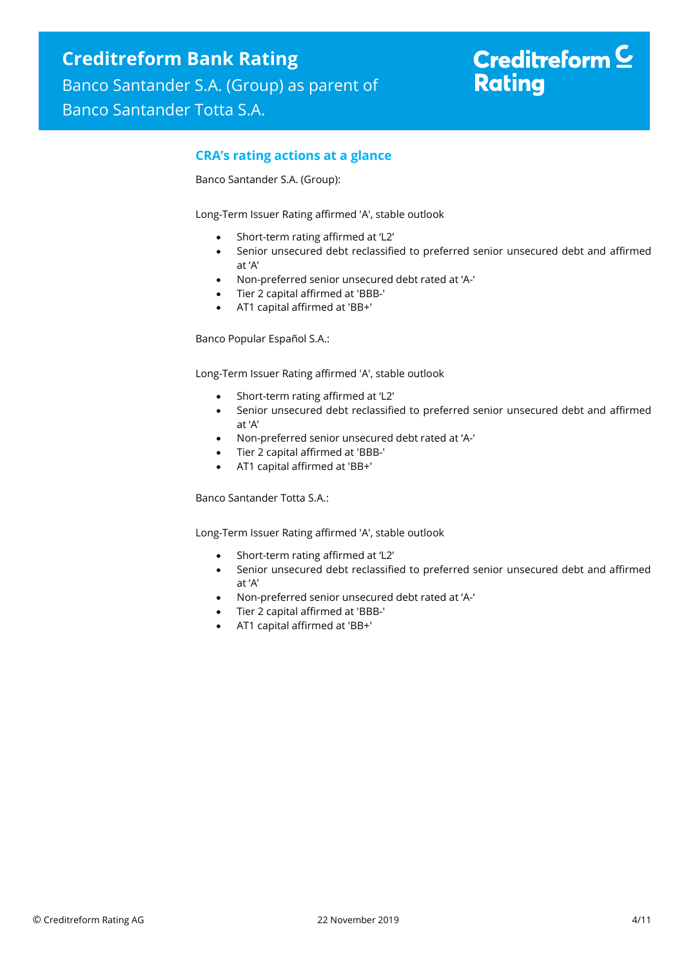### **CRA's rating actions at a glance**

Banco Santander S.A. (Group):

Long-Term Issuer Rating affirmed 'A', stable outlook

- Short-term rating affirmed at 'L2'
- Senior unsecured debt reclassified to preferred senior unsecured debt and affirmed at 'A'
- Non-preferred senior unsecured debt rated at 'A-'
- Tier 2 capital affirmed at 'BBB-'
- AT1 capital affirmed at 'BB+'

Banco Popular Español S.A.:

Long-Term Issuer Rating affirmed 'A', stable outlook

- Short-term rating affirmed at 'L2'
- Senior unsecured debt reclassified to preferred senior unsecured debt and affirmed at 'A'
- Non-preferred senior unsecured debt rated at 'A-'
- Tier 2 capital affirmed at 'BBB-'
- AT1 capital affirmed at 'BB+'

Banco Santander Totta S.A.:

Long-Term Issuer Rating affirmed 'A', stable outlook

- Short-term rating affirmed at 'L2'
- Senior unsecured debt reclassified to preferred senior unsecured debt and affirmed at 'A'
- Non-preferred senior unsecured debt rated at 'A-'
- Tier 2 capital affirmed at 'BBB-'
- AT1 capital affirmed at 'BB+'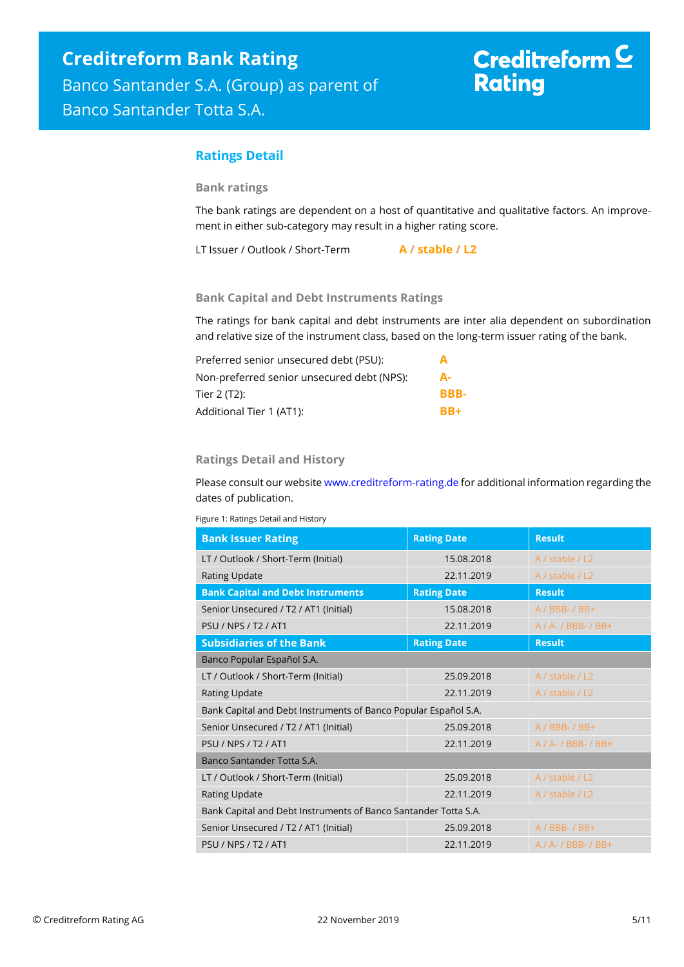# Creditreform  $C$ **Rating**

### **Ratings Detail**

#### **Bank ratings**

The bank ratings are dependent on a host of quantitative and qualitative factors. An improvement in either sub-category may result in a higher rating score.

LT Issuer / Outlook / Short-Term **A / stable / L2**

#### **Bank Capital and Debt Instruments Ratings**

The ratings for bank capital and debt instruments are inter alia dependent on subordination and relative size of the instrument class, based on the long-term issuer rating of the bank.

| Preferred senior unsecured debt (PSU):     | A    |
|--------------------------------------------|------|
| Non-preferred senior unsecured debt (NPS): | А-   |
| Tier 2 (T2):                               | BBB- |
| Additional Tier 1 (AT1):                   | RR+  |

#### **Ratings Detail and History**

Please consult our websit[e www.creditreform-rating.de](http://www.creditreform-rating.de/) for additional information regarding the dates of publication.

Figure 1: Ratings Detail and History

| <b>Bank Issuer Rating</b>                                       | <b>Rating Date</b> | <b>Result</b>            |
|-----------------------------------------------------------------|--------------------|--------------------------|
| LT / Outlook / Short-Term (Initial)                             | 15.08.2018         | A / stable / L2          |
| Rating Update                                                   | 22.11.2019         | A / stable / L2          |
| <b>Bank Capital and Debt Instruments</b>                        | <b>Rating Date</b> | <b>Result</b>            |
| Senior Unsecured / T2 / AT1 (Initial)                           | 15.08.2018         | $A / BBB - / BB +$       |
| <b>PSU / NPS / T2 / AT1</b>                                     | 22.11.2019         | A / A- / BBB- / BB+      |
| <b>Subsidiaries of the Bank</b>                                 | <b>Rating Date</b> | <b>Result</b>            |
| Banco Popular Español S.A.                                      |                    |                          |
| LT / Outlook / Short-Term (Initial)                             | 25.09.2018         | A / stable / L2          |
| <b>Rating Update</b>                                            | 22.11.2019         | A / stable / L2          |
| Bank Capital and Debt Instruments of Banco Popular Español S.A. |                    |                          |
| Senior Unsecured / T2 / AT1 (Initial)                           | 25.09.2018         | $A / BBB - / BB +$       |
| <b>PSU / NPS / T2 / AT1</b>                                     | 22.11.2019         | $A / A - / BBB - / BB +$ |
| Banco Santander Totta S.A.                                      |                    |                          |
| LT / Outlook / Short-Term (Initial)                             | 25.09.2018         | A / stable / L2          |
| Rating Update                                                   | 22.11.2019         | A / stable / L2          |
| Bank Capital and Debt Instruments of Banco Santander Totta S.A. |                    |                          |
| Senior Unsecured / T2 / AT1 (Initial)                           | 25.09.2018         | $A / BBB - / BB +$       |
| <b>PSU / NPS / T2 / AT1</b>                                     | 22.11.2019         | $A / A - / BBB - / BB +$ |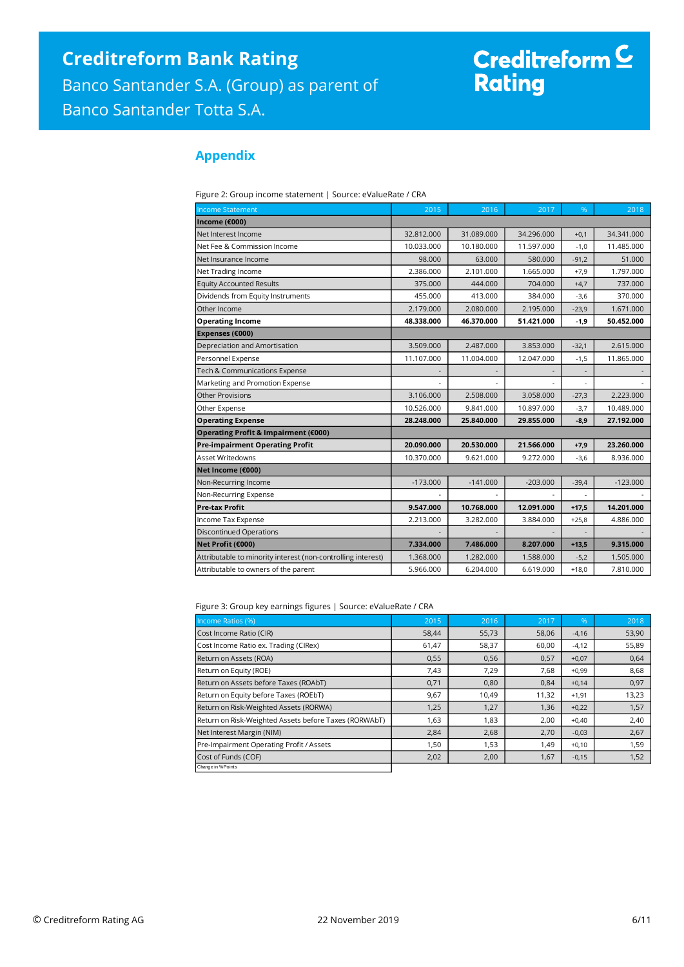# Creditreform <sup>C</sup><br>Rating

## **Appendix**

| <b>Income Statement</b>                                      | 2015       | 2016       | 2017       | %       | 2018       |
|--------------------------------------------------------------|------------|------------|------------|---------|------------|
| Income (€000)                                                |            |            |            |         |            |
| Net Interest Income                                          | 32.812.000 | 31.089.000 | 34.296.000 | $+0,1$  | 34.341.000 |
| Net Fee & Commission Income                                  | 10.033.000 | 10.180.000 | 11.597.000 | $-1,0$  | 11.485.000 |
| Net Insurance Income                                         | 98.000     | 63.000     | 580.000    | $-91,2$ | 51.000     |
| Net Trading Income                                           | 2.386.000  | 2.101.000  | 1.665.000  | $+7,9$  | 1.797.000  |
| <b>Equity Accounted Results</b>                              | 375.000    | 444.000    | 704.000    | $+4,7$  | 737.000    |
| Dividends from Equity Instruments                            | 455.000    | 413.000    | 384.000    | $-3,6$  | 370,000    |
| Other Income                                                 | 2.179.000  | 2.080.000  | 2.195.000  | $-23,9$ | 1.671.000  |
| <b>Operating Income</b>                                      | 48.338.000 | 46.370.000 | 51.421.000 | $-1,9$  | 50.452.000 |
| Expenses (€000)                                              |            |            |            |         |            |
| Depreciation and Amortisation                                | 3.509.000  | 2.487.000  | 3.853.000  | $-32,1$ | 2.615.000  |
| Personnel Expense                                            | 11.107.000 | 11.004.000 | 12.047.000 | $-1,5$  | 11.865.000 |
| Tech & Communications Expense                                |            |            |            |         |            |
| Marketing and Promotion Expense                              |            |            |            | ٠       |            |
| <b>Other Provisions</b>                                      | 3.106.000  | 2.508.000  | 3.058.000  | $-27,3$ | 2.223.000  |
| Other Expense                                                | 10.526.000 | 9.841.000  | 10.897.000 | $-3,7$  | 10.489.000 |
| <b>Operating Expense</b>                                     | 28.248.000 | 25.840.000 | 29.855.000 | $-8,9$  | 27.192.000 |
| Operating Profit & Impairment (€000)                         |            |            |            |         |            |
| <b>Pre-impairment Operating Profit</b>                       | 20.090.000 | 20.530.000 | 21.566.000 | $+7,9$  | 23.260.000 |
| Asset Writedowns                                             | 10.370.000 | 9.621.000  | 9.272.000  | $-3,6$  | 8.936.000  |
| Net Income (€000)                                            |            |            |            |         |            |
| Non-Recurring Income                                         | $-173.000$ | $-141.000$ | $-203.000$ | $-39,4$ | $-123.000$ |
| Non-Recurring Expense                                        |            |            |            |         |            |
| <b>Pre-tax Profit</b>                                        | 9.547.000  | 10.768.000 | 12.091.000 | $+17,5$ | 14.201.000 |
| Income Tax Expense                                           | 2.213.000  | 3.282.000  | 3.884.000  | $+25,8$ | 4.886.000  |
| <b>Discontinued Operations</b>                               |            |            |            |         |            |
| Net Profit (€000)                                            | 7.334.000  | 7.486.000  | 8.207.000  | $+13,5$ | 9.315.000  |
| Attributable to minority interest (non-controlling interest) | 1.368.000  | 1.282.000  | 1.588.000  | $-5,2$  | 1.505.000  |
| Attributable to owners of the parent                         | 5.966.000  | 6.204.000  | 6.619.000  | $+18,0$ | 7.810.000  |

Figure 3: Group key earnings figures | Source: eValueRate / CRA

| Income Ratios (%)                                     | 2015  | 2016  | 2017  | %       | 2018  |
|-------------------------------------------------------|-------|-------|-------|---------|-------|
| Cost Income Ratio (CIR)                               | 58,44 | 55,73 | 58,06 | $-4,16$ | 53,90 |
| Cost Income Ratio ex. Trading (CIRex)                 | 61,47 | 58,37 | 60,00 | $-4,12$ | 55,89 |
| Return on Assets (ROA)                                | 0,55  | 0,56  | 0,57  | $+0,07$ | 0,64  |
| Return on Equity (ROE)                                | 7,43  | 7,29  | 7,68  | $+0,99$ | 8,68  |
| Return on Assets before Taxes (ROAbT)                 | 0,71  | 0,80  | 0,84  | $+0,14$ | 0,97  |
| Return on Equity before Taxes (ROEbT)                 | 9,67  | 10,49 | 11,32 | $+1,91$ | 13,23 |
| Return on Risk-Weighted Assets (RORWA)                | 1,25  | 1,27  | 1,36  | $+0,22$ | 1,57  |
| Return on Risk-Weighted Assets before Taxes (RORWAbT) | 1,63  | 1,83  | 2,00  | $+0,40$ | 2,40  |
| Net Interest Margin (NIM)                             | 2,84  | 2,68  | 2,70  | $-0,03$ | 2,67  |
| Pre-Impairment Operating Profit / Assets              | 1,50  | 1,53  | 1.49  | $+0,10$ | 1,59  |
| Cost of Funds (COF)                                   | 2,02  | 2,00  | 1,67  | $-0,15$ | 1,52  |
| Change in % Points                                    |       |       |       |         |       |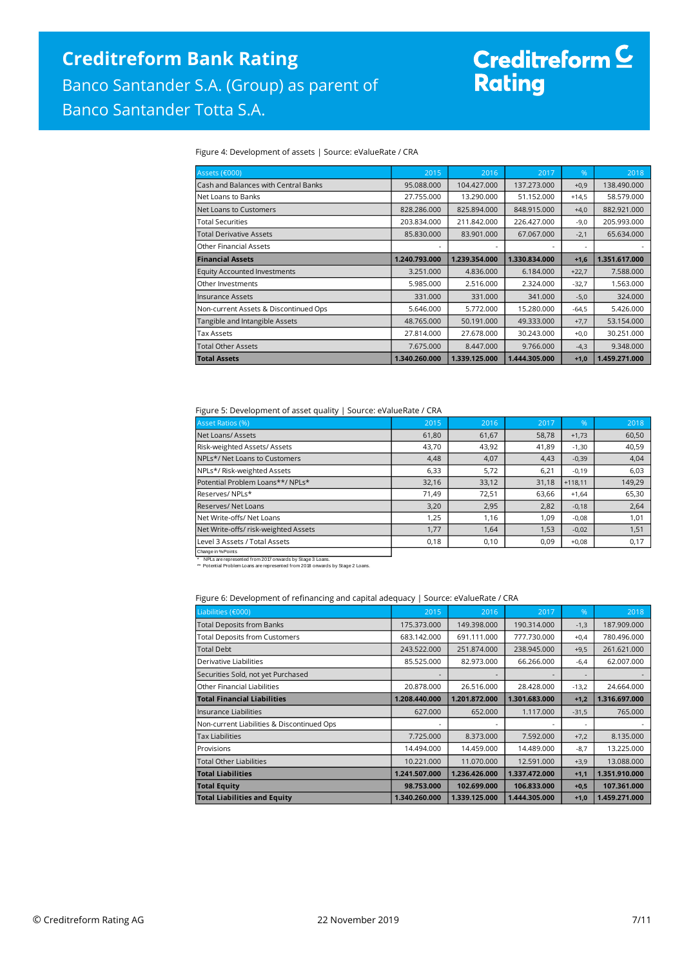# Creditreform <mark>C</mark><br>Rating

Figure 4: Development of assets | Source: eValueRate / CRA

| Assets (€000)                         | 2015          | 2016          | 2017          | $\%$    | 2018          |
|---------------------------------------|---------------|---------------|---------------|---------|---------------|
| Cash and Balances with Central Banks  | 95.088.000    | 104.427.000   | 137.273.000   | $+0,9$  | 138.490.000   |
| Net Loans to Banks                    | 27.755.000    | 13.290.000    | 51.152.000    | $+14,5$ | 58.579.000    |
| Net Loans to Customers                | 828.286.000   | 825.894.000   | 848.915.000   | $+4,0$  | 882.921.000   |
| <b>Total Securities</b>               | 203.834.000   | 211.842.000   | 226.427.000   | $-9,0$  | 205.993.000   |
| <b>Total Derivative Assets</b>        | 85.830.000    | 83.901.000    | 67.067.000    | $-2,1$  | 65.634.000    |
| Other Financial Assets                |               |               |               | ٠       |               |
| <b>Financial Assets</b>               | 1.240.793.000 | 1.239.354.000 | 1.330.834.000 | $+1,6$  | 1.351.617.000 |
| <b>Equity Accounted Investments</b>   | 3.251.000     | 4.836.000     | 6.184.000     | $+22,7$ | 7.588.000     |
| Other Investments                     | 5.985.000     | 2.516.000     | 2.324.000     | $-32,7$ | 1.563.000     |
| Insurance Assets                      | 331,000       | 331.000       | 341,000       | $-5,0$  | 324,000       |
| Non-current Assets & Discontinued Ops | 5.646.000     | 5.772.000     | 15.280.000    | $-64,5$ | 5.426.000     |
| Tangible and Intangible Assets        | 48.765.000    | 50.191.000    | 49.333.000    | $+7,7$  | 53.154.000    |
| Tax Assets                            | 27.814.000    | 27.678.000    | 30.243.000    | $+0,0$  | 30.251.000    |
| <b>Total Other Assets</b>             | 7.675.000     | 8.447.000     | 9.766.000     | $-4,3$  | 9.348.000     |
| <b>Total Assets</b>                   | 1.340.260.000 | 1.339.125.000 | 1.444.305.000 | $+1,0$  | 1.459.271.000 |

#### Figure 5: Development of asset quality | Source: eValueRate / CRA

| <b>Asset Ratios (%)</b>              | 2015  | 2016  | 2017  | %         | 2018   |
|--------------------------------------|-------|-------|-------|-----------|--------|
| Net Loans/Assets                     | 61,80 | 61,67 | 58,78 | $+1,73$   | 60,50  |
| Risk-weighted Assets/ Assets         | 43,70 | 43,92 | 41,89 | $-1,30$   | 40,59  |
| NPLs*/ Net Loans to Customers        | 4,48  | 4,07  | 4,43  | $-0,39$   | 4,04   |
| NPLs*/ Risk-weighted Assets          | 6,33  | 5,72  | 6,21  | $-0,19$   | 6,03   |
| Potential Problem Loans**/ NPLs*     | 32,16 | 33,12 | 31,18 | $+118.11$ | 149,29 |
| Reserves/NPLs*                       | 71,49 | 72,51 | 63,66 | $+1,64$   | 65,30  |
| Reserves/Net Loans                   | 3,20  | 2,95  | 2,82  | $-0,18$   | 2,64   |
| Net Write-offs/Net Loans             | 1,25  | 1,16  | 1,09  | $-0,08$   | 1,01   |
| Net Write-offs/ risk-weighted Assets | 1,77  | 1,64  | 1,53  | $-0,02$   | 1,51   |
| Level 3 Assets / Total Assets        | 0,18  | 0,10  | 0,09  | $+0,08$   | 0,17   |
| Change in % Points                   |       |       |       |           |        |

\* NPLs are represented from 2017 onwards by Stage 3 Loans. \*\* Potential Problem Loans are represented from 2018 onwards by Stage 2 Loans.

Figure 6: Development of refinancing and capital adequacy | Source: eValueRate / CRA

| Liabilities (€000)                         | 2015          | 2016          | 2017          | %       | 2018          |
|--------------------------------------------|---------------|---------------|---------------|---------|---------------|
| <b>Total Deposits from Banks</b>           | 175.373.000   | 149.398.000   | 190.314.000   | $-1,3$  | 187.909.000   |
| <b>Total Deposits from Customers</b>       | 683.142.000   | 691.111.000   | 777.730.000   | $+0,4$  | 780.496.000   |
| <b>Total Debt</b>                          | 243.522.000   | 251.874.000   | 238.945.000   | $+9,5$  | 261.621.000   |
| Derivative Liabilities                     | 85.525.000    | 82.973.000    | 66.266.000    | $-6,4$  | 62.007.000    |
| Securities Sold, not yet Purchased         |               |               |               |         |               |
| Other Financial Liabilities                | 20.878.000    | 26.516.000    | 28.428.000    | $-13,2$ | 24.664.000    |
| <b>Total Financial Liabilities</b>         | 1.208.440.000 | 1.201.872.000 | 1.301.683.000 | $+1,2$  | 1.316.697.000 |
| Insurance Liabilities                      | 627,000       | 652,000       | 1.117.000     | $-31,5$ | 765,000       |
| Non-current Liabilities & Discontinued Ops |               |               |               | ۰       |               |
| Tax Liabilities                            | 7.725.000     | 8.373.000     | 7.592.000     | $+7,2$  | 8.135.000     |
| Provisions                                 | 14.494.000    | 14.459.000    | 14.489.000    | $-8,7$  | 13.225.000    |
| Total Other Liabilities                    | 10.221.000    | 11.070.000    | 12.591.000    | $+3,9$  | 13.088.000    |
| <b>Total Liabilities</b>                   | 1.241.507.000 | 1.236.426.000 | 1.337.472.000 | $+1,1$  | 1.351.910.000 |
| <b>Total Equity</b>                        | 98.753.000    | 102.699.000   | 106.833.000   | $+0,5$  | 107.361.000   |
| <b>Total Liabilities and Equity</b>        | 1.340.260.000 | 1.339.125.000 | 1.444.305.000 | $+1,0$  | 1.459.271.000 |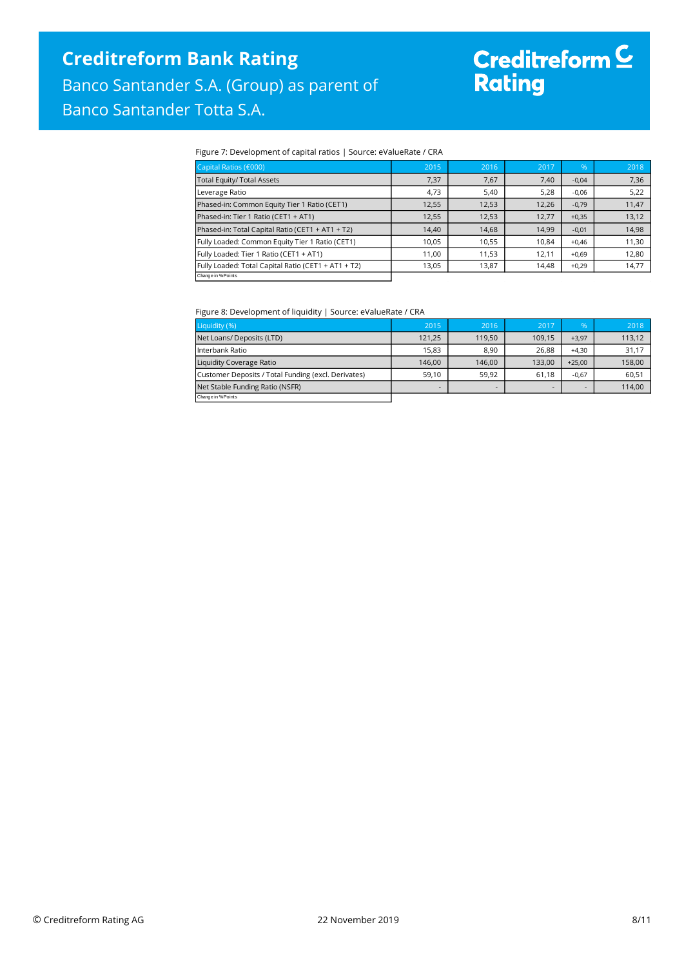# Creditreform <mark>C</mark><br>Rating

#### Figure 7: Development of capital ratios | Source: eValueRate / CRA

| Capital Ratios (€000)                               | 2015  | 2016  | 2017  | $\%$    | 2018  |
|-----------------------------------------------------|-------|-------|-------|---------|-------|
| Total Equity/ Total Assets                          | 7,37  | 7,67  | 7,40  | $-0,04$ | 7,36  |
| Leverage Ratio                                      | 4.73  | 5,40  | 5,28  | $-0,06$ | 5,22  |
| Phased-in: Common Equity Tier 1 Ratio (CET1)        | 12,55 | 12,53 | 12,26 | $-0,79$ | 11,47 |
| Phased-in: Tier 1 Ratio (CET1 + AT1)                | 12,55 | 12,53 | 12,77 | $+0,35$ | 13,12 |
| Phased-in: Total Capital Ratio (CET1 + AT1 + T2)    | 14,40 | 14,68 | 14,99 | $-0,01$ | 14,98 |
| Fully Loaded: Common Equity Tier 1 Ratio (CET1)     | 10.05 | 10,55 | 10.84 | $+0.46$ | 11,30 |
| Fully Loaded: Tier 1 Ratio (CET1 + AT1)             | 11,00 | 11.53 | 12,11 | $+0,69$ | 12,80 |
| Fully Loaded: Total Capital Ratio (CET1 + AT1 + T2) | 13,05 | 13,87 | 14,48 | $+0,29$ | 14,77 |
| Change in % Points                                  |       |       |       |         |       |

#### Figure 8: Development of liquidity | Source: eValueRate / CRA

| Liquidity (%)                                       | 2015                     | 2016   | 2017   | 96'      | 2018   |
|-----------------------------------------------------|--------------------------|--------|--------|----------|--------|
| Net Loans/ Deposits (LTD)                           | 121,25                   | 119.50 | 109,15 | $+3,97$  | 113,12 |
| l Interbank Ratio                                   | 15.83                    | 8.90   | 26.88  | $+4.30$  | 31,17  |
| Liquidity Coverage Ratio                            | 146.00                   | 146.00 | 133.00 | $+25.00$ | 158,00 |
| Customer Deposits / Total Funding (excl. Derivates) | 59.10                    | 59.92  | 61.18  | $-0.67$  | 60.51  |
| Net Stable Funding Ratio (NSFR)                     | $\overline{\phantom{a}}$ | -      |        |          | 114,00 |
| Change in % Points                                  |                          |        |        |          |        |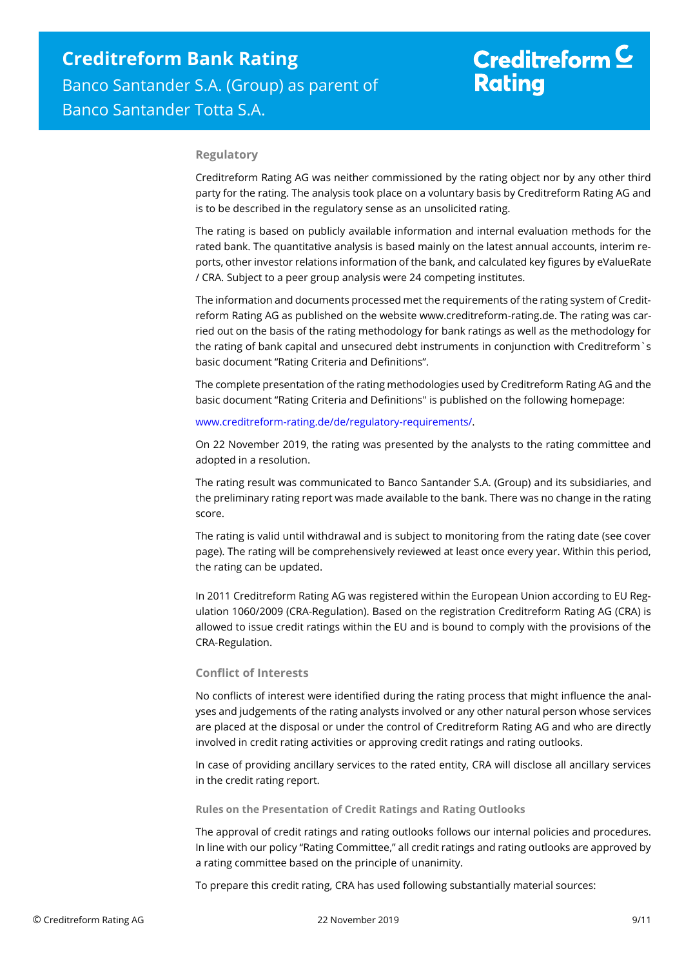#### **Regulatory**

Creditreform Rating AG was neither commissioned by the rating object nor by any other third party for the rating. The analysis took place on a voluntary basis by Creditreform Rating AG and is to be described in the regulatory sense as an unsolicited rating.

The rating is based on publicly available information and internal evaluation methods for the rated bank. The quantitative analysis is based mainly on the latest annual accounts, interim reports, other investor relations information of the bank, and calculated key figures by eValueRate / CRA. Subject to a peer group analysis were 24 competing institutes.

The information and documents processed met the requirements of the rating system of Creditreform Rating AG as published on the website www.creditreform-rating.de. The rating was carried out on the basis of the rating methodology for bank ratings as well as the methodology for the rating of bank capital and unsecured debt instruments in conjunction with Creditreform`s basic document "Rating Criteria and Definitions".

The complete presentation of the rating methodologies used by Creditreform Rating AG and the basic document "Rating Criteria and Definitions" is published on the following homepage:

#### [www.creditreform-rating.de/de/regulatory-requirements/.](http://www.creditreform-rating.de/de/regulatory-requirements/)

On 22 November 2019, the rating was presented by the analysts to the rating committee and adopted in a resolution.

The rating result was communicated to Banco Santander S.A. (Group) and its subsidiaries, and the preliminary rating report was made available to the bank. There was no change in the rating score.

The rating is valid until withdrawal and is subject to monitoring from the rating date (see cover page). The rating will be comprehensively reviewed at least once every year. Within this period, the rating can be updated.

In 2011 Creditreform Rating AG was registered within the European Union according to EU Regulation 1060/2009 (CRA-Regulation). Based on the registration Creditreform Rating AG (CRA) is allowed to issue credit ratings within the EU and is bound to comply with the provisions of the CRA-Regulation.

#### **Conflict of Interests**

No conflicts of interest were identified during the rating process that might influence the analyses and judgements of the rating analysts involved or any other natural person whose services are placed at the disposal or under the control of Creditreform Rating AG and who are directly involved in credit rating activities or approving credit ratings and rating outlooks.

In case of providing ancillary services to the rated entity, CRA will disclose all ancillary services in the credit rating report.

**Rules on the Presentation of Credit Ratings and Rating Outlooks**

The approval of credit ratings and rating outlooks follows our internal policies and procedures. In line with our policy "Rating Committee," all credit ratings and rating outlooks are approved by a rating committee based on the principle of unanimity.

To prepare this credit rating, CRA has used following substantially material sources: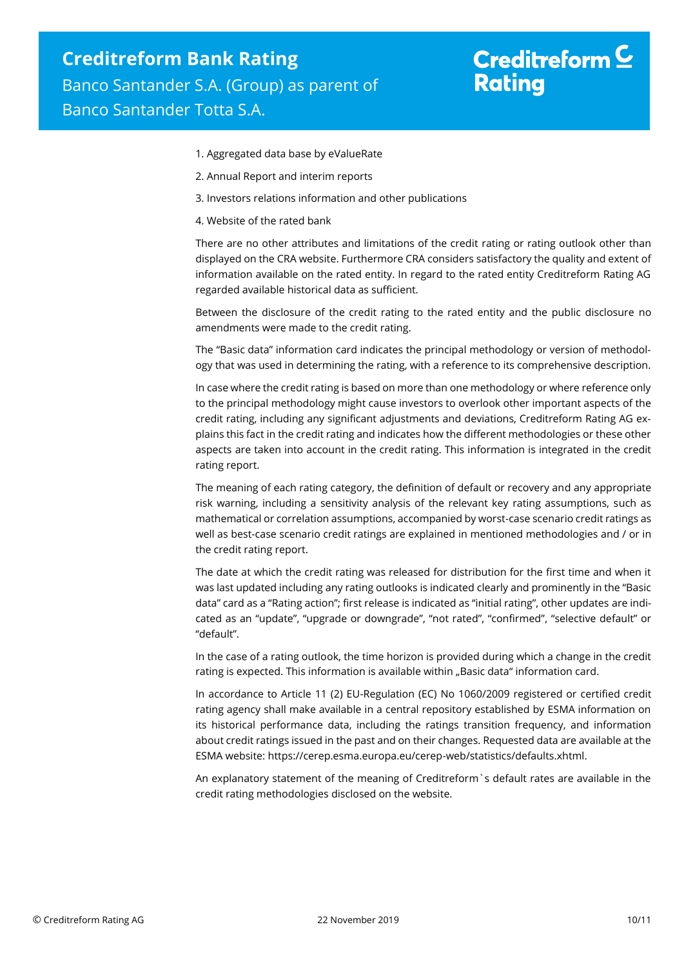- 1. Aggregated data base by eValueRate
- 2. Annual Report and interim reports
- 3. Investors relations information and other publications
- 4. Website of the rated bank

There are no other attributes and limitations of the credit rating or rating outlook other than displayed on the CRA website. Furthermore CRA considers satisfactory the quality and extent of information available on the rated entity. In regard to the rated entity Creditreform Rating AG regarded available historical data as sufficient.

Between the disclosure of the credit rating to the rated entity and the public disclosure no amendments were made to the credit rating.

The "Basic data" information card indicates the principal methodology or version of methodology that was used in determining the rating, with a reference to its comprehensive description.

In case where the credit rating is based on more than one methodology or where reference only to the principal methodology might cause investors to overlook other important aspects of the credit rating, including any significant adjustments and deviations, Creditreform Rating AG explains this fact in the credit rating and indicates how the different methodologies or these other aspects are taken into account in the credit rating. This information is integrated in the credit rating report.

The meaning of each rating category, the definition of default or recovery and any appropriate risk warning, including a sensitivity analysis of the relevant key rating assumptions, such as mathematical or correlation assumptions, accompanied by worst-case scenario credit ratings as well as best-case scenario credit ratings are explained in mentioned methodologies and / or in the credit rating report.

The date at which the credit rating was released for distribution for the first time and when it was last updated including any rating outlooks is indicated clearly and prominently in the "Basic data" card as a "Rating action"; first release is indicated as "initial rating", other updates are indicated as an "update", "upgrade or downgrade", "not rated", "confirmed", "selective default" or "default".

In the case of a rating outlook, the time horizon is provided during which a change in the credit rating is expected. This information is available within "Basic data" information card.

In accordance to Article 11 (2) EU-Regulation (EC) No 1060/2009 registered or certified credit rating agency shall make available in a central repository established by ESMA information on its historical performance data, including the ratings transition frequency, and information about credit ratings issued in the past and on their changes. Requested data are available at the ESMA website: https://cerep.esma.europa.eu/cerep-web/statistics/defaults.xhtml.

An explanatory statement of the meaning of Creditreform`s default rates are available in the credit rating methodologies disclosed on the website.